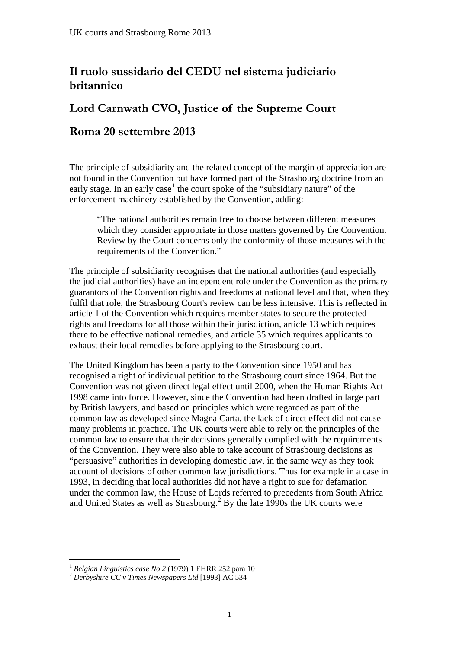## **Il ruolo sussidario del CEDU nel sistema judiciario britannico**

## **Lord Carnwath CVO, Justice of the Supreme Court**

## **Roma 20 settembre 2013**

The principle of subsidiarity and the related concept of the margin of appreciation are not found in the Convention but have formed part of the Strasbourg doctrine from an early stage. In an early case<sup>[1](#page-0-0)</sup> the court spoke of the "subsidiary nature" of the enforcement machinery established by the Convention, adding:

"The national authorities remain free to choose between different measures which they consider appropriate in those matters governed by the Convention. Review by the Court concerns only the conformity of those measures with the requirements of the Convention."

The principle of subsidiarity recognises that the national authorities (and especially the judicial authorities) have an independent role under the Convention as the primary guarantors of the Convention rights and freedoms at national level and that, when they fulfil that role, the Strasbourg Court's review can be less intensive. This is reflected in article 1 of the Convention which requires member states to secure the protected rights and freedoms for all those within their jurisdiction, article 13 which requires there to be effective national remedies, and article 35 which requires applicants to exhaust their local remedies before applying to the Strasbourg court.

The United Kingdom has been a party to the Convention since 1950 and has recognised a right of individual petition to the Strasbourg court since 1964. But the Convention was not given direct legal effect until 2000, when the Human Rights Act 1998 came into force. However, since the Convention had been drafted in large part by British lawyers, and based on principles which were regarded as part of the common law as developed since Magna Carta, the lack of direct effect did not cause many problems in practice. The UK courts were able to rely on the principles of the common law to ensure that their decisions generally complied with the requirements of the Convention. They were also able to take account of Strasbourg decisions as "persuasive" authorities in developing domestic law, in the same way as they took account of decisions of other common law jurisdictions. Thus for example in a case in 1993, in deciding that local authorities did not have a right to sue for defamation under the common law, the House of Lords referred to precedents from South Africa and United States as well as Strasbourg.<sup>[2](#page-0-1)</sup> By the late 1990s the UK courts were

<span id="page-0-0"></span><sup>&</sup>lt;sup>1</sup> Belgian Linguistics case No 2 (1979) 1 EHRR 252 para 10 <sup>1</sup>*Belgian Linguistics case No 2* (1979) 1 EHRR 252 para 10 2 *Derbyshire CC v Times Newspapers Ltd* [1993] AC 534 1

<span id="page-0-1"></span>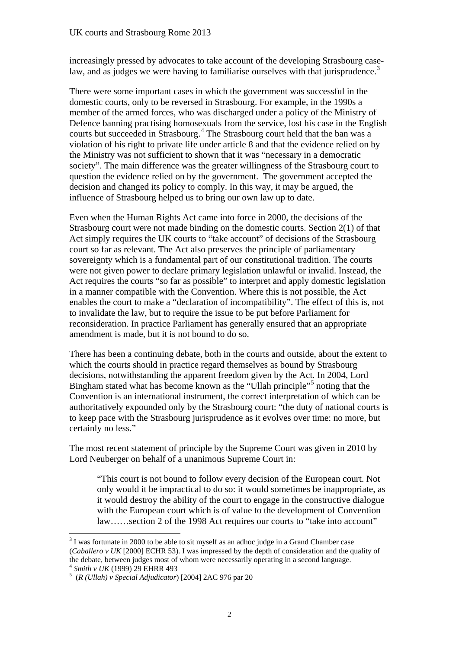law, and as judges we were having to familiarise ourselves with that jurisprudence.<sup>[3](#page-1-0)</sup> increasingly pressed by advocates to take account of the developing Strasbourg case-

There were some important cases in which the government was successful in the domestic courts, only to be reversed in Strasbourg. For example, in the 1990s a member of the armed forces, who was discharged under a policy of the Ministry of Defence banning practising homosexuals from the service, lost his case in the English courts but succeeded in Strasbourg.<sup>[4](#page-1-1)</sup> The Strasbourg court held that the ban was a violation of his right to private life under article 8 and that the evidence relied on by the Ministry was not sufficient to shown that it was "necessary in a democratic society". The main difference was the greater willingness of the Strasbourg court to question the evidence relied on by the government. The government accepted the decision and changed its policy to comply. In this way, it may be argued, the influence of Strasbourg helped us to bring our own law up to date.

Even when the Human Rights Act came into force in 2000, the decisions of the Strasbourg court were not made binding on the domestic courts. Section 2(1) of that Act simply requires the UK courts to "take account" of decisions of the Strasbourg court so far as relevant. The Act also preserves the principle of parliamentary sovereignty which is a fundamental part of our constitutional tradition. The courts were not given power to declare primary legislation unlawful or invalid. Instead, the Act requires the courts "so far as possible" to interpret and apply domestic legislation in a manner compatible with the Convention. Where this is not possible, the Act enables the court to make a "declaration of incompatibility". The effect of this is, not to invalidate the law, but to require the issue to be put before Parliament for reconsideration. In practice Parliament has generally ensured that an appropriate amendment is made, but it is not bound to do so.

There has been a continuing debate, both in the courts and outside, about the extent to which the courts should in practice regard themselves as bound by Strasbourg decisions, notwithstanding the apparent freedom given by the Act. In 2004, Lord Bingham stated what has become known as the "Ullah principle"<sup>[5](#page-1-2)</sup> noting that the Convention is an international instrument, the correct interpretation of which can be authoritatively expounded only by the Strasbourg court: "the duty of national courts is to keep pace with the Strasbourg jurisprudence as it evolves over time: no more, but certainly no less."

The most recent statement of principle by the Supreme Court was given in 2010 by Lord Neuberger on behalf of a unanimous Supreme Court in:

"This court is not bound to follow every decision of the European court. Not only would it be impractical to do so: it would sometimes be inappropriate, as it would destroy the ability of the court to engage in the constructive dialogue with the European court which is of value to the development of Convention law……section 2 of the 1998 Act requires our courts to "take into account"

<span id="page-1-0"></span> (*Caballero v UK* [2000] ECHR 53). I was impressed by the depth of consideration and the quality of  $3$  I was fortunate in 2000 to be able to sit myself as an adhoc judge in a Grand Chamber case the debate, between judges most of whom were necessarily operating in a second language.<br> $\frac{4 \text{ Smith } v \text{ UK}}{1999}$  29 EHRR 493

<span id="page-1-2"></span><span id="page-1-1"></span><sup>&</sup>lt;sup>4</sup> Smith v UK (1999) 29 EHRR 493<br><sup>5</sup> (*R* (Ullah) v Special Adjudicator) [2004] 2AC 976 par 20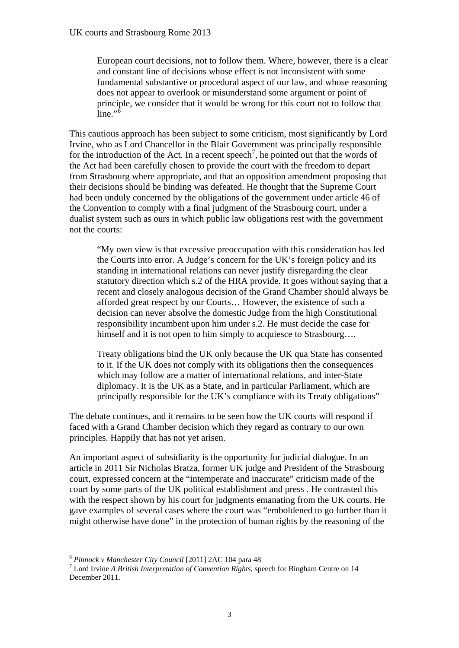European court decisions, not to follow them. Where, however, there is a clear and constant line of decisions whose effect is not inconsistent with some fundamental substantive or procedural aspect of our law, and whose reasoning does not appear to overlook or misunderstand some argument or point of principle, we consider that it would be wrong for this court not to follow that line." $\frac{1}{6}$ 

This cautious approach has been subject to some criticism, most significantly by Lord Irvine, who as Lord Chancellor in the Blair Government was principally responsible for the introduction of the Act. In a recent speech<sup>[7](#page-2-1)</sup>, he pointed out that the words of the Act had been carefully chosen to provide the court with the freedom to depart from Strasbourg where appropriate, and that an opposition amendment proposing that their decisions should be binding was defeated. He thought that the Supreme Court had been unduly concerned by the obligations of the government under article 46 of the Convention to comply with a final judgment of the Strasbourg court, under a dualist system such as ours in which public law obligations rest with the government not the courts:

"My own view is that excessive preoccupation with this consideration has led the Courts into error. A Judge's concern for the UK's foreign policy and its standing in international relations can never justify disregarding the clear statutory direction which s.2 of the HRA provide. It goes without saying that a recent and closely analogous decision of the Grand Chamber should always be afforded great respect by our Courts… However, the existence of such a decision can never absolve the domestic Judge from the high Constitutional responsibility incumbent upon him under s.2. He must decide the case for himself and it is not open to him simply to acquiesce to Strasbourg....

Treaty obligations bind the UK only because the UK qua State has consented to it. If the UK does not comply with its obligations then the consequences which may follow are a matter of international relations, and inter-State diplomacy. It is the UK as a State, and in particular Parliament, which are principally responsible for the UK's compliance with its Treaty obligations"

The debate continues, and it remains to be seen how the UK courts will respond if faced with a Grand Chamber decision which they regard as contrary to our own principles. Happily that has not yet arisen.

An important aspect of subsidiarity is the opportunity for judicial dialogue. In an article in 2011 Sir Nicholas Bratza, former UK judge and President of the Strasbourg court, expressed concern at the "intemperate and inaccurate" criticism made of the court by some parts of the UK political establishment and press . He contrasted this with the respect shown by his court for judgments emanating from the UK courts. He gave examples of several cases where the court was "emboldened to go further than it might otherwise have done" in the protection of human rights by the reasoning of the

<span id="page-2-0"></span><sup>6</sup>*Pinnock v Manchester City Council* [2011] 2AC 104 para 48 7

<span id="page-2-1"></span>Lord Irvine *A British Interpretation of Convention Rights*, speech for Bingham Centre on 14 December 2011.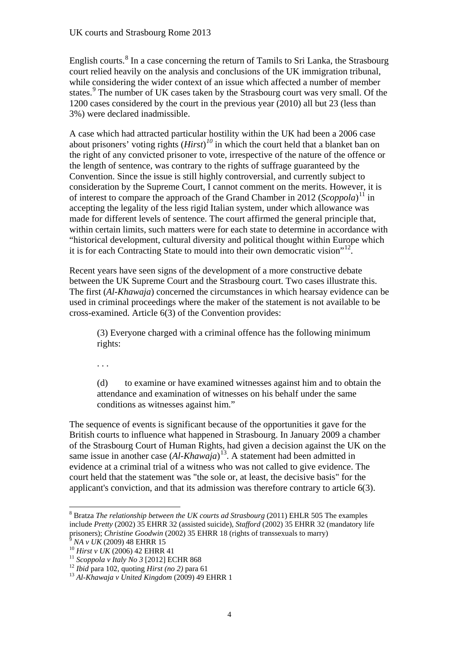English courts.<sup>[8](#page-3-0)</sup> In a case concerning the return of Tamils to Sri Lanka, the Strasbourg court relied heavily on the analysis and conclusions of the UK immigration tribunal, while considering the wider context of an issue which affected a number of member states.<sup>[9](#page-3-1)</sup> The number of UK cases taken by the Strasbourg court was very small. Of the 1200 cases considered by the court in the previous year (2010) all but 23 (less than 3%) were declared inadmissible.

A case which had attracted particular hostility within the UK had been a 2006 case about prisoners' voting rights (*Hirst*) *[10](#page-3-2)* in which the court held that a blanket ban on the right of any convicted prisoner to vote, irrespective of the nature of the offence or the length of sentence, was contrary to the rights of suffrage guaranteed by the Convention. Since the issue is still highly controversial, and currently subject to consideration by the Supreme Court, I cannot comment on the merits. However, it is of interest to compare the approach of the Grand Chamber in 2012 (*Scoppola*) [11](#page-3-3) in accepting the legality of the less rigid Italian system, under which allowance was made for different levels of sentence. The court affirmed the general principle that, within certain limits, such matters were for each state to determine in accordance with "historical development, cultural diversity and political thought within Europe which it is for each Contracting State to mould into their own democratic vision"<sup>[12](#page-3-4)</sup>.

Recent years have seen signs of the development of a more constructive debate between the UK Supreme Court and the Strasbourg court. Two cases illustrate this. The first (*Al-Khawaja*) concerned the circumstances in which hearsay evidence can be used in criminal proceedings where the maker of the statement is not available to be cross-examined. Article 6(3) of the Convention provides:

(3) Everyone charged with a criminal offence has the following minimum rights:

. . .

(d) to examine or have examined witnesses against him and to obtain the attendance and examination of witnesses on his behalf under the same conditions as witnesses against him."

The sequence of events is significant because of the opportunities it gave for the British courts to influence what happened in Strasbourg. In January 2009 a chamber of the Strasbourg Court of Human Rights, had given a decision against the UK on the same issue in another case (*Al-Khawaja*) [13](#page-3-5). A statement had been admitted in evidence at a criminal trial of a witness who was not called to give evidence. The court held that the statement was "the sole or, at least, the decisive basis" for the applicant's conviction, and that its admission was therefore contrary to article 6(3).

<span id="page-3-1"></span> $^{10}$  Hirst v UK (2006) 42 EHRR 41

<span id="page-3-0"></span>prisoners); *Christine Goodwin* (2002) 35 EHRR 18 (rights of transsexuals to marry)<br><sup>9</sup> MA *v UK* (2009) 48 EHRR 15<br><sup>10</sup> Hirst *v UK* (2006) 42 EHRR 41<br><sup>11</sup> Scoppola *v Italy No* 3 [2012] ECHR 868<br><sup>12</sup> Ibid para 102, quot <sup>8</sup> Bratza *The relationship between the UK courts ad Strasbourg* (2011) EHLR 505 The examples include *Pretty* (2002) 35 EHRR 32 (assisted suicide), *Stafford* (2002) 35 EHRR 32 (mandatory life

<span id="page-3-3"></span><span id="page-3-2"></span><sup>&</sup>lt;sup>11</sup> Scoppola v Italy No 3 [2012] ECHR 868

<span id="page-3-5"></span><span id="page-3-4"></span><sup>&</sup>lt;sup>12</sup> *Ibid* para 102, quoting *Hirst* (no 2) para 61<br><sup>13</sup> Al-Khawaia v United Kingdom (2009) 49 EHRR 1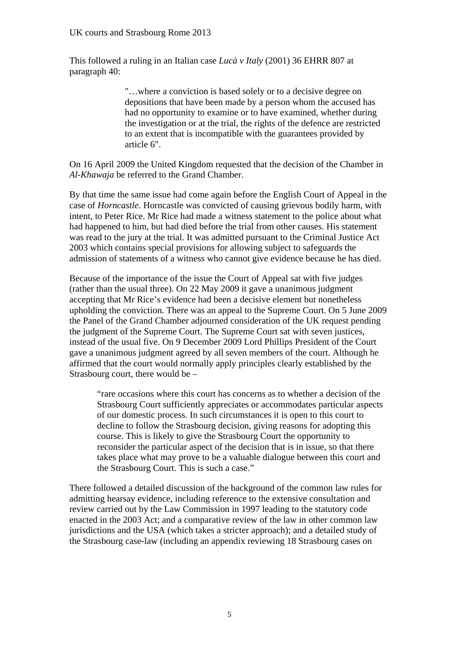This followed a ruling in an Italian case *Lucà v Italy* (2001) 36 EHRR 807 at paragraph 40:

> "…where a conviction is based solely or to a decisive degree on depositions that have been made by a person whom the accused has had no opportunity to examine or to have examined, whether during the investigation or at the trial, the rights of the defence are restricted to an extent that is incompatible with the guarantees provided by article 6".

On 16 April 2009 the United Kingdom requested that the decision of the Chamber in *Al-Khawaja* be referred to the Grand Chamber.

By that time the same issue had come again before the English Court of Appeal in the case of *Horncastle*. Horncastle was convicted of causing grievous bodily harm, with intent, to Peter Rice. Mr Rice had made a witness statement to the police about what had happened to him, but had died before the trial from other causes. His statement was read to the jury at the trial. It was admitted pursuant to the Criminal Justice Act 2003 which contains special provisions for allowing subject to safeguards the admission of statements of a witness who cannot give evidence because he has died.

Because of the importance of the issue the Court of Appeal sat with five judges (rather than the usual three). On 22 May 2009 it gave a unanimous judgment accepting that Mr Rice's evidence had been a decisive element but nonetheless upholding the conviction. There was an appeal to the Supreme Court. On 5 June 2009 the Panel of the Grand Chamber adjourned consideration of the UK request pending the judgment of the Supreme Court. The Supreme Court sat with seven justices, instead of the usual five. On 9 December 2009 Lord Phillips President of the Court gave a unanimous judgment agreed by all seven members of the court. Although he affirmed that the court would normally apply principles clearly established by the Strasbourg court, there would be –

"rare occasions where this court has concerns as to whether a decision of the Strasbourg Court sufficiently appreciates or accommodates particular aspects of our domestic process. In such circumstances it is open to this court to decline to follow the Strasbourg decision, giving reasons for adopting this course. This is likely to give the Strasbourg Court the opportunity to reconsider the particular aspect of the decision that is in issue, so that there takes place what may prove to be a valuable dialogue between this court and the Strasbourg Court. This is such a case."

There followed a detailed discussion of the background of the common law rules for admitting hearsay evidence, including reference to the extensive consultation and review carried out by the Law Commission in 1997 leading to the statutory code enacted in the 2003 Act; and a comparative review of the law in other common law jurisdictions and the USA (which takes a stricter approach); and a detailed study of the Strasbourg case-law (including an appendix reviewing 18 Strasbourg cases on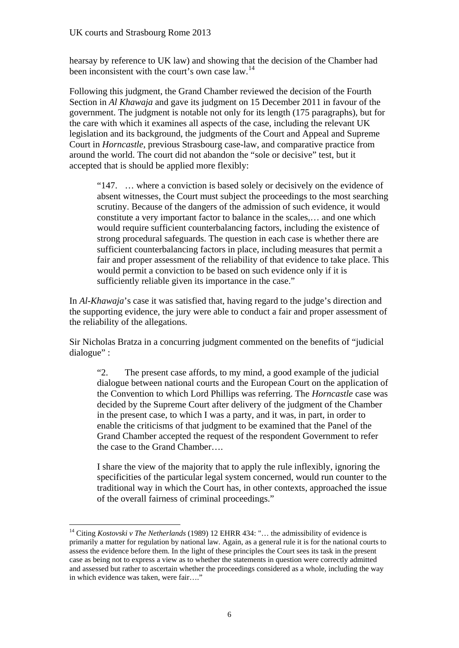hearsay by reference to UK law) and showing that the decision of the Chamber had been inconsistent with the court's own case law.<sup>[14](#page-5-0)</sup>

Following this judgment, the Grand Chamber reviewed the decision of the Fourth Section in *Al Khawaja* and gave its judgment on 15 December 2011 in favour of the government. The judgment is notable not only for its length (175 paragraphs), but for the care with which it examines all aspects of the case, including the relevant UK legislation and its background, the judgments of the Court and Appeal and Supreme Court in *Horncastle*, previous Strasbourg case-law, and comparative practice from around the world. The court did not abandon the "sole or decisive" test, but it accepted that is should be applied more flexibly:

"147. … where a conviction is based solely or decisively on the evidence of absent witnesses, the Court must subject the proceedings to the most searching scrutiny. Because of the dangers of the admission of such evidence, it would constitute a very important factor to balance in the scales,… and one which would require sufficient counterbalancing factors, including the existence of strong procedural safeguards. The question in each case is whether there are sufficient counterbalancing factors in place, including measures that permit a fair and proper assessment of the reliability of that evidence to take place. This would permit a conviction to be based on such evidence only if it is sufficiently reliable given its importance in the case."

In *Al-Khawaja*'s case it was satisfied that, having regard to the judge's direction and the supporting evidence, the jury were able to conduct a fair and proper assessment of the reliability of the allegations.

Sir Nicholas Bratza in a concurring judgment commented on the benefits of "judicial dialogue" :

"2. The present case affords, to my mind, a good example of the judicial dialogue between national courts and the European Court on the application of the Convention to which Lord Phillips was referring. The *Horncastle* case was decided by the Supreme Court after delivery of the judgment of the Chamber in the present case, to which I was a party, and it was, in part, in order to enable the criticisms of that judgment to be examined that the Panel of the Grand Chamber accepted the request of the respondent Government to refer the case to the Grand Chamber….

I share the view of the majority that to apply the rule inflexibly, ignoring the specificities of the particular legal system concerned, would run counter to the traditional way in which the Court has, in other contexts, approached the issue of the overall fairness of criminal proceedings."

<span id="page-5-0"></span><sup>14</sup> Citing *Kostovski v The Netherlands* (1989) 12 EHRR 434: "… the admissibility of evidence is primarily a matter for regulation by national law. Again, as a general rule it is for the national courts to assess the evidence before them. In the light of these principles the Court sees its task in the present case as being not to express a view as to whether the statements in question were correctly admitted and assessed but rather to ascertain whether the proceedings considered as a whole, including the way in which evidence was taken, were fair…."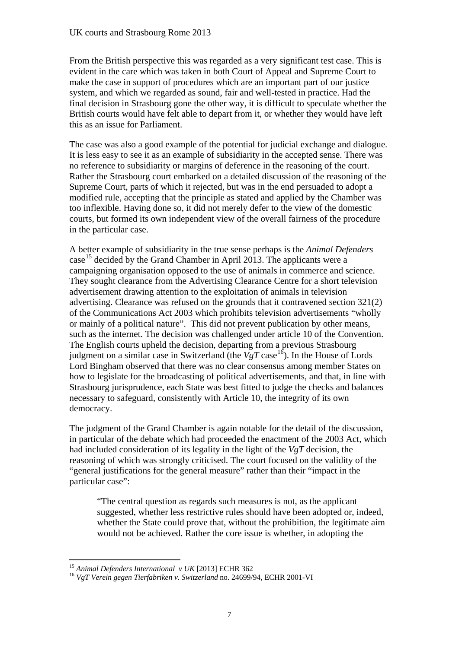From the British perspective this was regarded as a very significant test case. This is evident in the care which was taken in both Court of Appeal and Supreme Court to make the case in support of procedures which are an important part of our justice system, and which we regarded as sound, fair and well-tested in practice. Had the final decision in Strasbourg gone the other way, it is difficult to speculate whether the British courts would have felt able to depart from it, or whether they would have left this as an issue for Parliament.

The case was also a good example of the potential for judicial exchange and dialogue. It is less easy to see it as an example of subsidiarity in the accepted sense. There was no reference to subsidiarity or margins of deference in the reasoning of the court. Rather the Strasbourg court embarked on a detailed discussion of the reasoning of the Supreme Court, parts of which it rejected, but was in the end persuaded to adopt a modified rule, accepting that the principle as stated and applied by the Chamber was too inflexible. Having done so, it did not merely defer to the view of the domestic courts, but formed its own independent view of the overall fairness of the procedure in the particular case.

A better example of subsidiarity in the true sense perhaps is the *Animal Defenders*  case<sup>[15](#page-6-0)</sup> decided by the Grand Chamber in April 2013. The applicants were a campaigning organisation opposed to the use of animals in commerce and science. They sought clearance from the Advertising Clearance Centre for a short television advertisement drawing attention to the exploitation of animals in television advertising. Clearance was refused on the grounds that it contravened section 321(2) of the Communications Act 2003 which prohibits television advertisements "wholly or mainly of a political nature". This did not prevent publication by other means, such as the internet. The decision was challenged under article 10 of the Convention. The English courts upheld the decision, departing from a previous Strasbourg judgment on a similar case in Switzerland (the  $VgT$  case<sup>[16](#page-6-1)</sup>). In the House of Lords Lord Bingham observed that there was no clear consensus among member States on how to legislate for the broadcasting of political advertisements, and that, in line with Strasbourg jurisprudence, each State was best fitted to judge the checks and balances necessary to safeguard, consistently with Article 10, the integrity of its own democracy.

The judgment of the Grand Chamber is again notable for the detail of the discussion, in particular of the debate which had proceeded the enactment of the 2003 Act, which had included consideration of its legality in the light of the *VgT* decision, the reasoning of which was strongly criticised. The court focused on the validity of the "general justifications for the general measure" rather than their "impact in the particular case":

"The central question as regards such measures is not, as the applicant suggested, whether less restrictive rules should have been adopted or, indeed, whether the State could prove that, without the prohibition, the legitimate aim would not be achieved. Rather the core issue is whether, in adopting the

<span id="page-6-1"></span><span id="page-6-0"></span><sup>&</sup>lt;sup>15</sup> Animal Defenders International  $v$  UK [2013] ECHR 362

<sup>&</sup>lt;sup>15</sup> Animal Defenders International v UK [2013] ECHR 362<br><sup>16</sup> *VgT Verein gegen Tierfabriken v. Switzerland* no. 24699/94, ECHR 2001-VI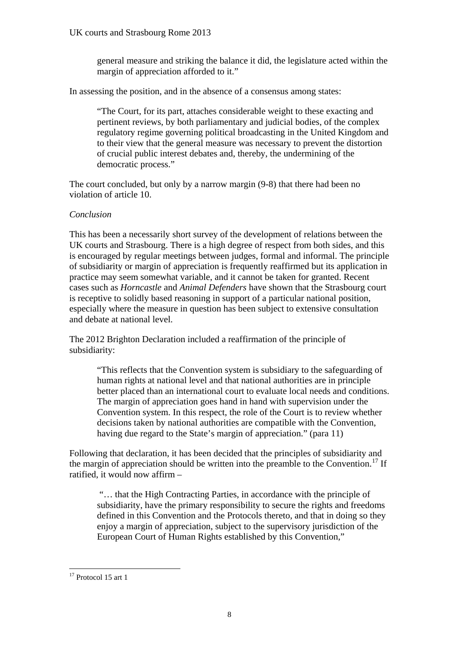general measure and striking the balance it did, the legislature acted within the margin of appreciation afforded to it."

In assessing the position, and in the absence of a consensus among states:

"The Court, for its part, attaches considerable weight to these exacting and pertinent reviews, by both parliamentary and judicial bodies, of the complex regulatory regime governing political broadcasting in the United Kingdom and to their view that the general measure was necessary to prevent the distortion of crucial public interest debates and, thereby, the undermining of the democratic process."

The court concluded, but only by a narrow margin (9-8) that there had been no violation of article 10.

## *Conclusion*

This has been a necessarily short survey of the development of relations between the UK courts and Strasbourg. There is a high degree of respect from both sides, and this is encouraged by regular meetings between judges, formal and informal. The principle of subsidiarity or margin of appreciation is frequently reaffirmed but its application in practice may seem somewhat variable, and it cannot be taken for granted. Recent cases such as *Horncastle* and *Animal Defenders* have shown that the Strasbourg court is receptive to solidly based reasoning in support of a particular national position, especially where the measure in question has been subject to extensive consultation and debate at national level.

The 2012 Brighton Declaration included a reaffirmation of the principle of subsidiarity:

"This reflects that the Convention system is subsidiary to the safeguarding of human rights at national level and that national authorities are in principle better placed than an international court to evaluate local needs and conditions. The margin of appreciation goes hand in hand with supervision under the Convention system. In this respect, the role of the Court is to review whether decisions taken by national authorities are compatible with the Convention, having due regard to the State's margin of appreciation." (para 11)

Following that declaration, it has been decided that the principles of subsidiarity and the margin of appreciation should be written into the preamble to the Convention.<sup>17</sup> If ratified, it would now affirm –

 "… that the High Contracting Parties, in accordance with the principle of subsidiarity, have the primary responsibility to secure the rights and freedoms defined in this Convention and the Protocols thereto, and that in doing so they enjoy a margin of appreciation, subject to the supervisory jurisdiction of the European Court of Human Rights established by this Convention,"

<span id="page-7-0"></span><sup>&</sup>lt;u>.</u> <sup>17</sup> Protocol 15 art 1